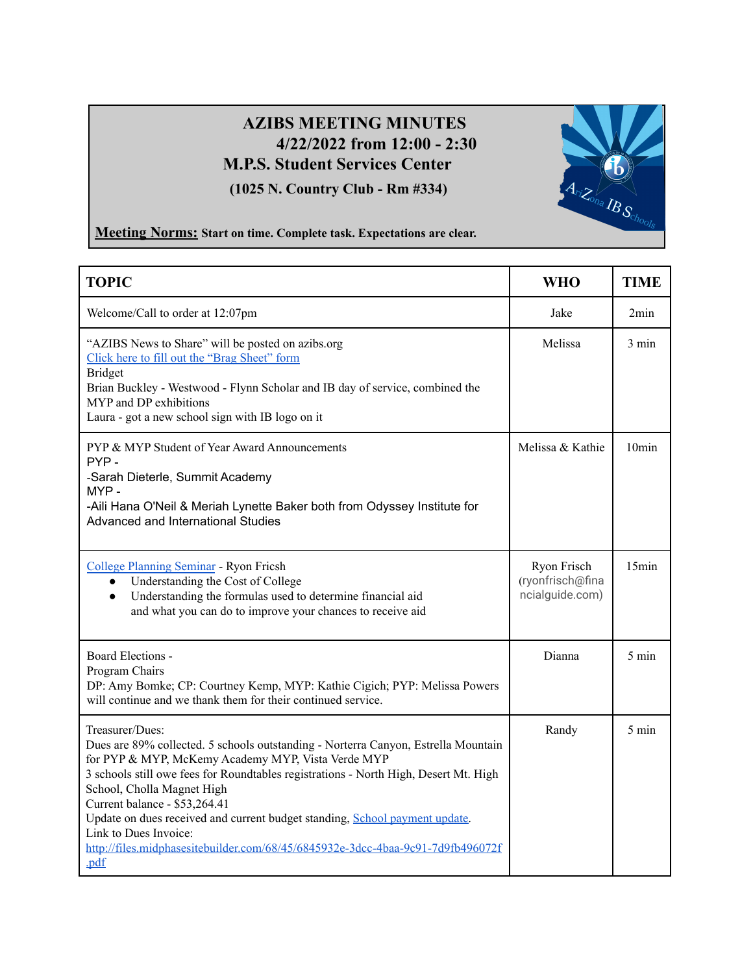## **AZIBS MEETING MINUTES 4/22/2022 from 12:00 - 2:30 M.P.S. Student Services Center (1025 N. Country Club - Rm #334)**



## **Meeting Norms: Start on time. Complete task. Expectations are clear.**

| <b>TOPIC</b>                                                                                                                                                                                                                                                                                                                                                                                                                                                                                                          | <b>WHO</b>                                         | <b>TIME</b>     |
|-----------------------------------------------------------------------------------------------------------------------------------------------------------------------------------------------------------------------------------------------------------------------------------------------------------------------------------------------------------------------------------------------------------------------------------------------------------------------------------------------------------------------|----------------------------------------------------|-----------------|
| Welcome/Call to order at 12:07pm                                                                                                                                                                                                                                                                                                                                                                                                                                                                                      | Jake                                               | 2min            |
| "AZIBS News to Share" will be posted on azibs.org<br>Click here to fill out the "Brag Sheet" form<br><b>Bridget</b><br>Brian Buckley - Westwood - Flynn Scholar and IB day of service, combined the<br>MYP and DP exhibitions<br>Laura - got a new school sign with IB logo on it                                                                                                                                                                                                                                     | Melissa                                            | $3 \text{ min}$ |
| PYP & MYP Student of Year Award Announcements<br>PYP-<br>-Sarah Dieterle, Summit Academy<br>MYP-<br>-Aili Hana O'Neil & Meriah Lynette Baker both from Odyssey Institute for<br>Advanced and International Studies                                                                                                                                                                                                                                                                                                    | Melissa & Kathie                                   | $10$ min        |
| College Planning Seminar - Ryon Fricsh<br>Understanding the Cost of College<br>$\bullet$<br>Understanding the formulas used to determine financial aid<br>$\bullet$<br>and what you can do to improve your chances to receive aid                                                                                                                                                                                                                                                                                     | Ryon Frisch<br>(ryonfrisch@fina<br>ncialguide.com) | 15min           |
| Board Elections -<br>Program Chairs<br>DP: Amy Bomke; CP: Courtney Kemp, MYP: Kathie Cigich; PYP: Melissa Powers<br>will continue and we thank them for their continued service.                                                                                                                                                                                                                                                                                                                                      | Dianna                                             | $5 \text{ min}$ |
| Treasurer/Dues:<br>Dues are 89% collected. 5 schools outstanding - Norterra Canyon, Estrella Mountain<br>for PYP & MYP, McKemy Academy MYP, Vista Verde MYP<br>3 schools still owe fees for Roundtables registrations - North High, Desert Mt. High<br>School, Cholla Magnet High<br>Current balance - \$53,264.41<br>Update on dues received and current budget standing, School payment update.<br>Link to Dues Invoice:<br>http://files.midphasesitebuilder.com/68/45/6845932e-3dcc-4baa-9c91-7d9fb496072f<br>.pdf | Randy                                              | $5 \text{ min}$ |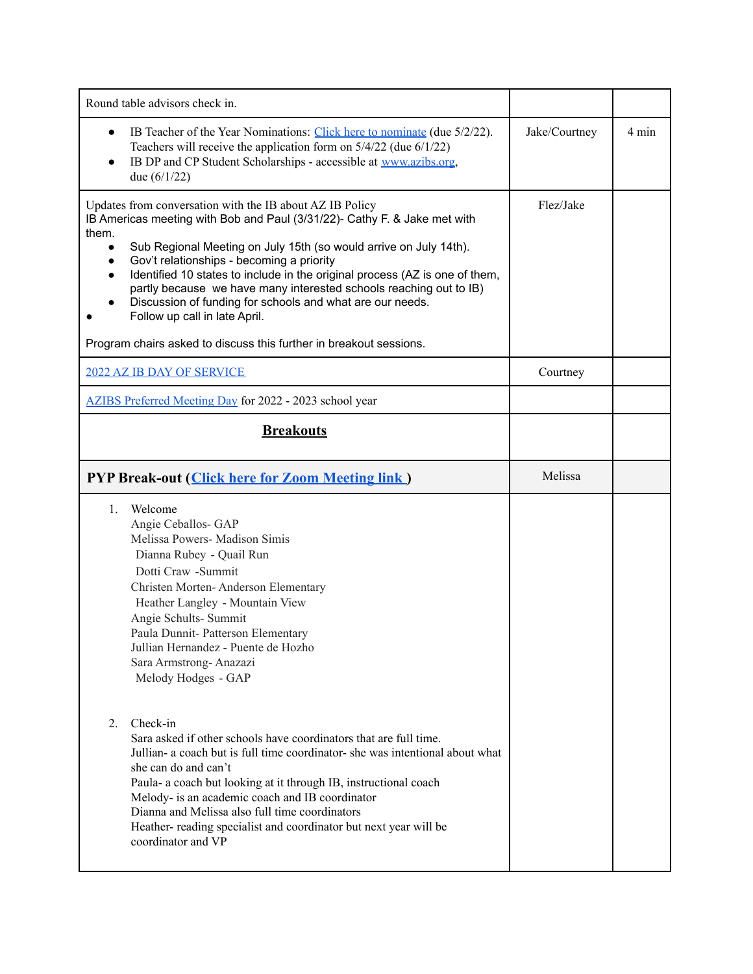| Round table advisors check in.                                                                                                                                                                                                                                                                                                                                                                                                                                                                                                                                                                                                   |               |       |
|----------------------------------------------------------------------------------------------------------------------------------------------------------------------------------------------------------------------------------------------------------------------------------------------------------------------------------------------------------------------------------------------------------------------------------------------------------------------------------------------------------------------------------------------------------------------------------------------------------------------------------|---------------|-------|
| IB Teacher of the Year Nominations: Click here to nominate (due 5/2/22).<br>Teachers will receive the application form on $5/4/22$ (due $6/1/22$ )<br>IB DP and CP Student Scholarships - accessible at www.azibs.org,<br>due $(6/1/22)$                                                                                                                                                                                                                                                                                                                                                                                         | Jake/Courtney | 4 min |
| Updates from conversation with the IB about AZ IB Policy<br>IB Americas meeting with Bob and Paul (3/31/22)- Cathy F. & Jake met with<br>them.<br>Sub Regional Meeting on July 15th (so would arrive on July 14th).<br>$\bullet$<br>Gov't relationships - becoming a priority<br>$\bullet$<br>Identified 10 states to include in the original process (AZ is one of them,<br>$\bullet$<br>partly because we have many interested schools reaching out to IB)<br>Discussion of funding for schools and what are our needs.<br>Follow up call in late April.<br>Program chairs asked to discuss this further in breakout sessions. | Flez/Jake     |       |
| 2022 AZ IB DAY OF SERVICE                                                                                                                                                                                                                                                                                                                                                                                                                                                                                                                                                                                                        | Courtney      |       |
| AZIBS Preferred Meeting Day for 2022 - 2023 school year                                                                                                                                                                                                                                                                                                                                                                                                                                                                                                                                                                          |               |       |
| <b>Breakouts</b>                                                                                                                                                                                                                                                                                                                                                                                                                                                                                                                                                                                                                 |               |       |
| <b>PYP Break-out (Click here for Zoom Meeting link)</b>                                                                                                                                                                                                                                                                                                                                                                                                                                                                                                                                                                          | Melissa       |       |
| Welcome<br>$1_{-}$<br>Angie Ceballos- GAP<br>Melissa Powers- Madison Simis<br>Dianna Rubey - Quail Run<br>Dotti Craw - Summit<br>Christen Morten-Anderson Elementary<br>Heather Langley - Mountain View<br>Angie Schults- Summit<br>Paula Dunnit- Patterson Elementary<br>Jullian Hernandez - Puente de Hozho<br>Sara Armstrong-Anazazi<br>Melody Hodges - GAP                                                                                                                                                                                                                                                                   |               |       |
| Check-in<br>2.<br>Sara asked if other schools have coordinators that are full time.<br>Jullian- a coach but is full time coordinator- she was intentional about what<br>she can do and can't<br>Paula- a coach but looking at it through IB, instructional coach<br>Melody- is an academic coach and IB coordinator<br>Dianna and Melissa also full time coordinators<br>Heather-reading specialist and coordinator but next year will be<br>coordinator and VP                                                                                                                                                                  |               |       |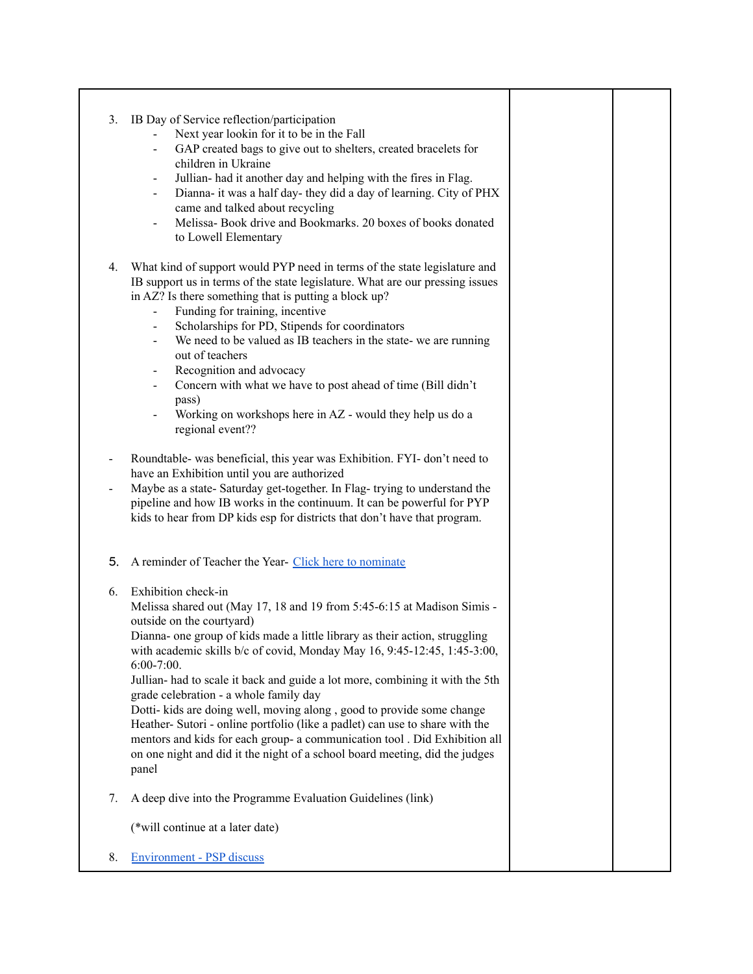3. IB Day of Service reflection/participation Next year lookin for it to be in the Fall GAP created bags to give out to shelters, created bracelets for children in Ukraine - Jullian- had it another day and helping with the fires in Flag. Dianna- it was a half day- they did a day of learning. City of PHX came and talked about recycling - Melissa- Book drive and Bookmarks. 20 boxes of books donated to Lowell Elementary 4. What kind of support would PYP need in terms of the state legislature and IB support us in terms of the state legislature. What are our pressing issues in AZ? Is there something that is putting a block up? - Funding for training, incentive Scholarships for PD, Stipends for coordinators We need to be valued as IB teachers in the state- we are running out of teachers - Recognition and advocacy Concern with what we have to post ahead of time (Bill didn't pass) Working on workshops here in AZ - would they help us do a regional event?? Roundtable- was beneficial, this year was Exhibition. FYI- don't need to have an Exhibition until you are authorized Maybe as a state- Saturday get-together. In Flag- trying to understand the pipeline and how IB works in the continuum. It can be powerful for PYP kids to hear from DP kids esp for districts that don't have that program. 5. A reminder of Teacher the Year- Click here to [nominate](https://docs.google.com/forms/d/e/1FAIpQLSdgmLv60XKJ-7AH7vDeDcRLRUKPAFTYTMV98WkfgeSSoJtzKA/viewform?usp=sf_link) 6. Exhibition check-in Melissa shared out (May 17, 18 and 19 from 5:45-6:15 at Madison Simis outside on the courtyard) Dianna- one group of kids made a little library as their action, struggling with academic skills b/c of covid, Monday May 16, 9:45-12:45, 1:45-3:00, 6:00-7:00. Jullian- had to scale it back and guide a lot more, combining it with the 5th grade celebration - a whole family day Dotti- kids are doing well, moving along , good to provide some change Heather- Sutori - online portfolio (like a padlet) can use to share with the mentors and kids for each group- a communication tool . Did Exhibition all on one night and did it the night of a school board meeting, did the judges panel 7. A deep dive into the Programme Evaluation Guidelines (link) (\*will continue at a later date) 8. [Environment](https://resources.ibo.org/data/edu_11162-51685-en_id-86f6354d-1f33-44ee-9aac-3c576a8eb5cf.pdf) - PSP discuss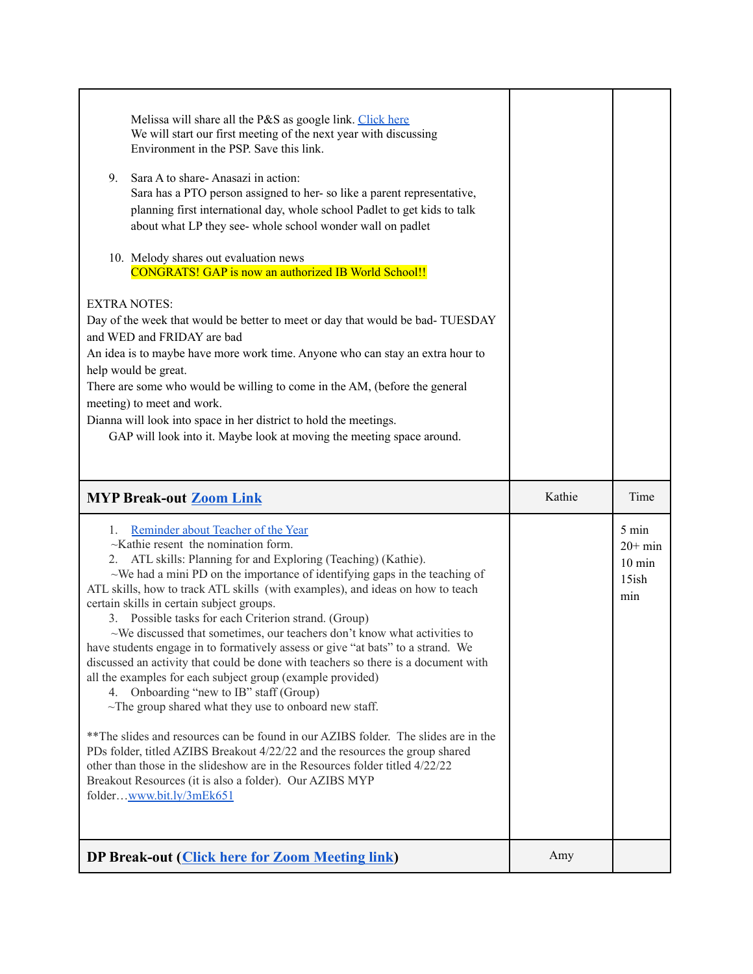| Melissa will share all the P&S as google link. Click here<br>We will start our first meeting of the next year with discussing<br>Environment in the PSP. Save this link.<br>9.<br>Sara A to share-Anasazi in action:<br>Sara has a PTO person assigned to her-so like a parent representative,<br>planning first international day, whole school Padlet to get kids to talk<br>about what LP they see- whole school wonder wall on padlet<br>10. Melody shares out evaluation news<br><b>CONGRATS! GAP</b> is now an authorized IB World School!!<br><b>EXTRA NOTES:</b><br>Day of the week that would be better to meet or day that would be bad-TUESDAY<br>and WED and FRIDAY are bad<br>An idea is to maybe have more work time. Anyone who can stay an extra hour to<br>help would be great.<br>There are some who would be willing to come in the AM, (before the general<br>meeting) to meet and work.<br>Dianna will look into space in her district to hold the meetings.<br>GAP will look into it. Maybe look at moving the meeting space around.                                                                                                                                                                  |                                                        |
|-----------------------------------------------------------------------------------------------------------------------------------------------------------------------------------------------------------------------------------------------------------------------------------------------------------------------------------------------------------------------------------------------------------------------------------------------------------------------------------------------------------------------------------------------------------------------------------------------------------------------------------------------------------------------------------------------------------------------------------------------------------------------------------------------------------------------------------------------------------------------------------------------------------------------------------------------------------------------------------------------------------------------------------------------------------------------------------------------------------------------------------------------------------------------------------------------------------------------------|--------------------------------------------------------|
| <b>MYP Break-out Zoom Link</b>                                                                                                                                                                                                                                                                                                                                                                                                                                                                                                                                                                                                                                                                                                                                                                                                                                                                                                                                                                                                                                                                                                                                                                                              | Kathie<br>Time                                         |
|                                                                                                                                                                                                                                                                                                                                                                                                                                                                                                                                                                                                                                                                                                                                                                                                                                                                                                                                                                                                                                                                                                                                                                                                                             |                                                        |
| Reminder about Teacher of the Year<br>1.<br>$\sim$ Kathie resent the nomination form.<br>ATL skills: Planning for and Exploring (Teaching) (Kathie).<br>2.<br>$\sim$ We had a mini PD on the importance of identifying gaps in the teaching of<br>ATL skills, how to track ATL skills (with examples), and ideas on how to teach<br>certain skills in certain subject groups.<br>3. Possible tasks for each Criterion strand. (Group)<br>$\sim$ We discussed that sometimes, our teachers don't know what activities to<br>have students engage in to formatively assess or give "at bats" to a strand. We<br>discussed an activity that could be done with teachers so there is a document with<br>all the examples for each subject group (example provided)<br>Onboarding "new to IB" staff (Group)<br>4.<br>$\sim$ The group shared what they use to onboard new staff.<br>** The slides and resources can be found in our AZIBS folder. The slides are in the<br>PDs folder, titled AZIBS Breakout 4/22/22 and the resources the group shared<br>other than those in the slideshow are in the Resources folder titled $4/22/22$<br>Breakout Resources (it is also a folder). Our AZIBS MYP<br>folderwww.bit.ly/3mEk651 | 5 min<br>$20+ min$<br>$10 \text{ min}$<br>15ish<br>min |